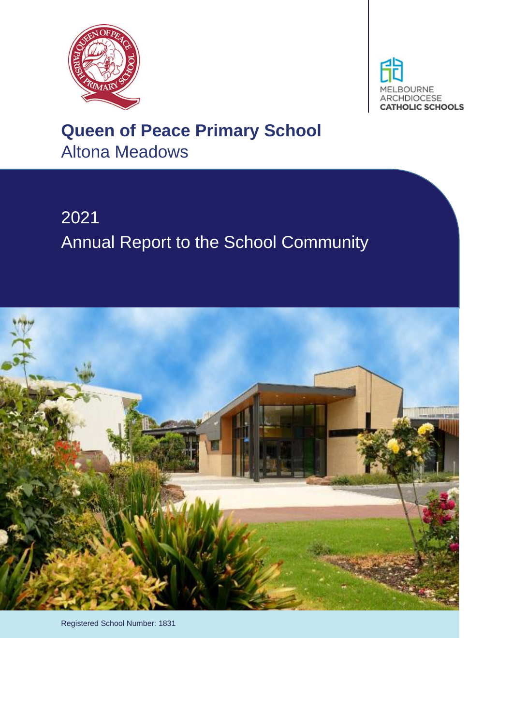



# **Queen of Peace Primary School** Altona Meadows

# 2021 Annual Report to the School Community



Registered School Number: 1831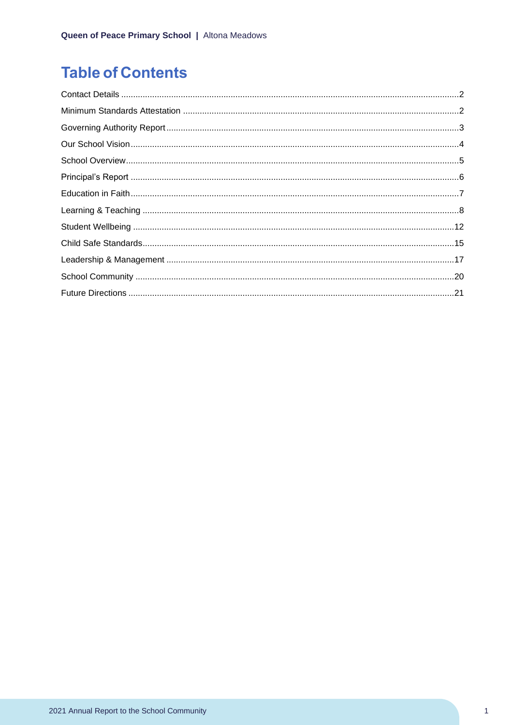# **Table of Contents**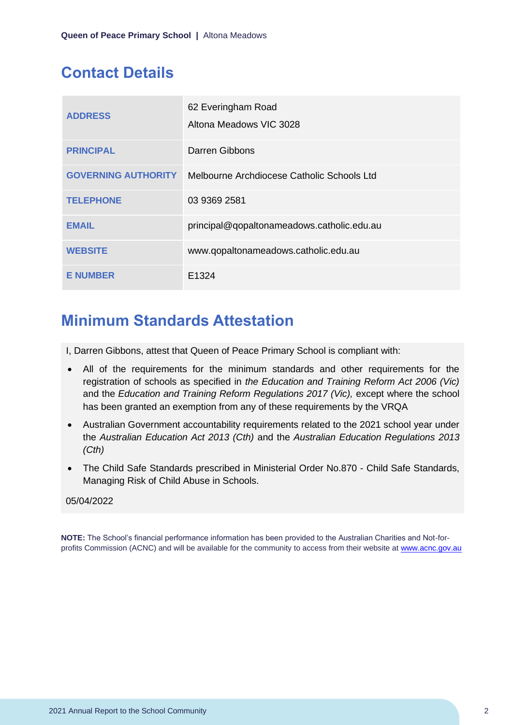### <span id="page-2-0"></span>**Contact Details**

| <b>ADDRESS</b>             | 62 Everingham Road<br>Altona Meadows VIC 3028 |
|----------------------------|-----------------------------------------------|
| <b>PRINCIPAL</b>           | Darren Gibbons                                |
| <b>GOVERNING AUTHORITY</b> | Melbourne Archdiocese Catholic Schools Ltd    |
| <b>TELEPHONE</b>           | 03 9369 2581                                  |
| <b>EMAIL</b>               | principal@qopaltonameadows.catholic.edu.au    |
| <b>WEBSITE</b>             | www.qopaltonameadows.catholic.edu.au          |
| <b>E NUMBER</b>            | E <sub>1324</sub>                             |

## <span id="page-2-1"></span>**Minimum Standards Attestation**

I, Darren Gibbons, attest that Queen of Peace Primary School is compliant with:

- All of the requirements for the minimum standards and other requirements for the registration of schools as specified in *the Education and Training Reform Act 2006 (Vic)* and the *Education and Training Reform Regulations 2017 (Vic),* except where the school has been granted an exemption from any of these requirements by the VRQA
- Australian Government accountability requirements related to the 2021 school year under the *Australian Education Act 2013 (Cth)* and the *Australian Education Regulations 2013 (Cth)*
- The Child Safe Standards prescribed in Ministerial Order No.870 Child Safe Standards, Managing Risk of Child Abuse in Schools.

#### 05/04/2022

**NOTE:** The School's financial performance information has been provided to the Australian Charities and Not-forprofits Commission (ACNC) and will be available for the community to access from their website at [www.acnc.gov.au](http://www.acnc.gov.au/)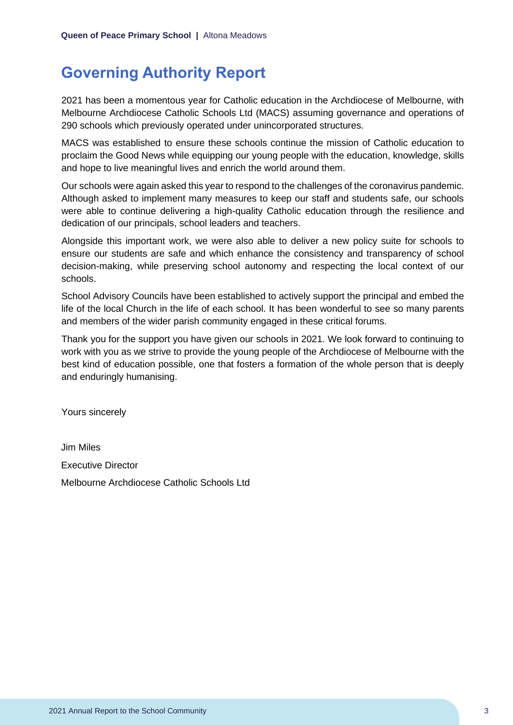### <span id="page-3-0"></span>**Governing Authority Report**

2021 has been a momentous year for Catholic education in the Archdiocese of Melbourne, with Melbourne Archdiocese Catholic Schools Ltd (MACS) assuming governance and operations of 290 schools which previously operated under unincorporated structures.

MACS was established to ensure these schools continue the mission of Catholic education to proclaim the Good News while equipping our young people with the education, knowledge, skills and hope to live meaningful lives and enrich the world around them.

Our schools were again asked this year to respond to the challenges of the coronavirus pandemic. Although asked to implement many measures to keep our staff and students safe, our schools were able to continue delivering a high-quality Catholic education through the resilience and dedication of our principals, school leaders and teachers.

Alongside this important work, we were also able to deliver a new policy suite for schools to ensure our students are safe and which enhance the consistency and transparency of school decision-making, while preserving school autonomy and respecting the local context of our schools.

School Advisory Councils have been established to actively support the principal and embed the life of the local Church in the life of each school. It has been wonderful to see so many parents and members of the wider parish community engaged in these critical forums.

Thank you for the support you have given our schools in 2021. We look forward to continuing to work with you as we strive to provide the young people of the Archdiocese of Melbourne with the best kind of education possible, one that fosters a formation of the whole person that is deeply and enduringly humanising.

Yours sincerely

Jim Miles Executive Director Melbourne Archdiocese Catholic Schools Ltd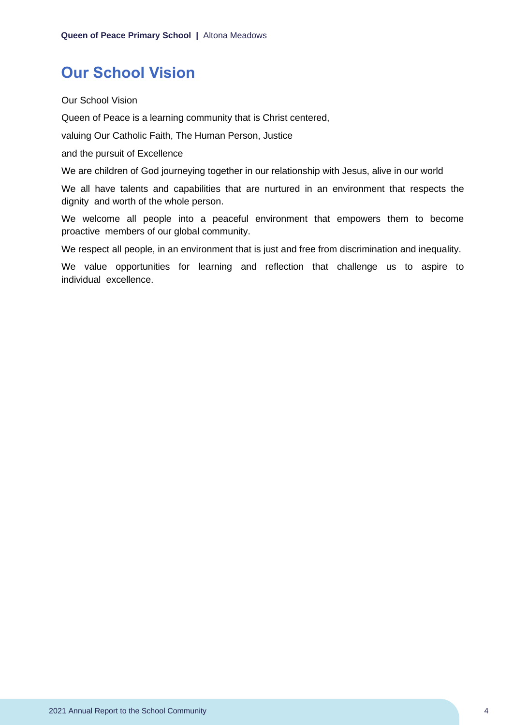### <span id="page-4-0"></span>**Our School Vision**

Our School Vision

Queen of Peace is a learning community that is Christ centered,

valuing Our Catholic Faith, The Human Person, Justice

and the pursuit of Excellence

We are children of God journeying together in our relationship with Jesus, alive in our world

We all have talents and capabilities that are nurtured in an environment that respects the dignity and worth of the whole person.

We welcome all people into a peaceful environment that empowers them to become proactive members of our global community.

We respect all people, in an environment that is just and free from discrimination and inequality.

We value opportunities for learning and reflection that challenge us to aspire to individual excellence.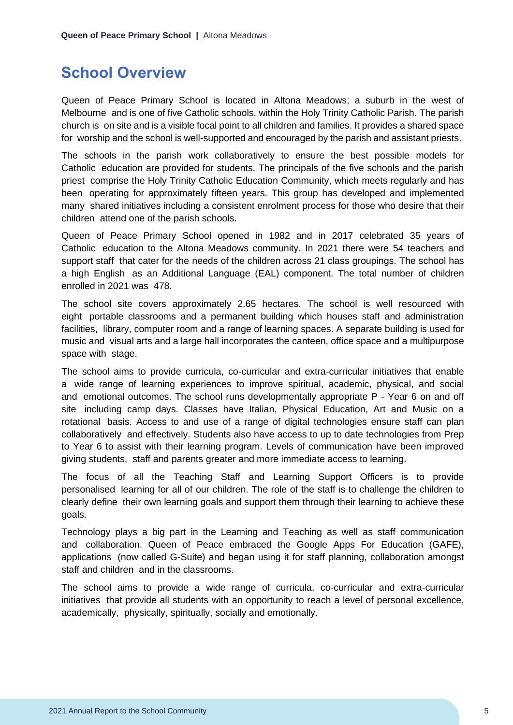### <span id="page-5-0"></span>**School Overview**

Queen of Peace Primary School is located in Altona Meadows; a suburb in the west of Melbourne and is one of five Catholic schools, within the Holy Trinity Catholic Parish. The parish church is on site and is a visible focal point to all children and families. It provides a shared space for worship and the school is well-supported and encouraged by the parish and assistant priests.

The schools in the parish work collaboratively to ensure the best possible models for Catholic education are provided for students. The principals of the five schools and the parish priest comprise the Holy Trinity Catholic Education Community, which meets regularly and has been operating for approximately fifteen years. This group has developed and implemented many shared initiatives including a consistent enrolment process for those who desire that their children attend one of the parish schools.

Queen of Peace Primary School opened in 1982 and in 2017 celebrated 35 years of Catholic education to the Altona Meadows community. In 2021 there were 54 teachers and support staff that cater for the needs of the children across 21 class groupings. The school has a high English as an Additional Language (EAL) component. The total number of children enrolled in 2021 was 478.

The school site covers approximately 2.65 hectares. The school is well resourced with eight portable classrooms and a permanent building which houses staff and administration facilities, library, computer room and a range of learning spaces. A separate building is used for music and visual arts and a large hall incorporates the canteen, office space and a multipurpose space with stage.

The school aims to provide curricula, co-curricular and extra-curricular initiatives that enable a wide range of learning experiences to improve spiritual, academic, physical, and social and emotional outcomes. The school runs developmentally appropriate P - Year 6 on and off site including camp days. Classes have Italian, Physical Education, Art and Music on a rotational basis. Access to and use of a range of digital technologies ensure staff can plan collaboratively and effectively. Students also have access to up to date technologies from Prep to Year 6 to assist with their learning program. Levels of communication have been improved giving students, staff and parents greater and more immediate access to learning.

The focus of all the Teaching Staff and Learning Support Officers is to provide personalised learning for all of our children. The role of the staff is to challenge the children to clearly define their own learning goals and support them through their learning to achieve these goals.

Technology plays a big part in the Learning and Teaching as well as staff communication and collaboration. Queen of Peace embraced the Google Apps For Education (GAFE), applications (now called G-Suite) and began using it for staff planning, collaboration amongst staff and children and in the classrooms.

The school aims to provide a wide range of curricula, co-curricular and extra-curricular initiatives that provide all students with an opportunity to reach a level of personal excellence, academically, physically, spiritually, socially and emotionally.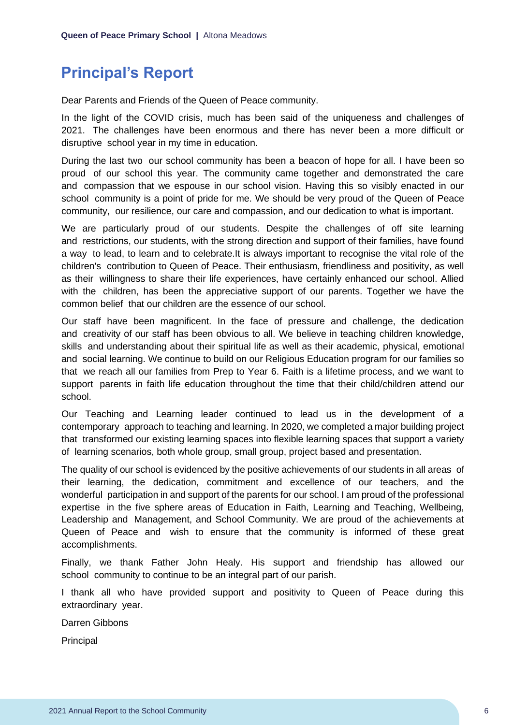## <span id="page-6-0"></span>**Principal's Report**

Dear Parents and Friends of the Queen of Peace community.

In the light of the COVID crisis, much has been said of the uniqueness and challenges of 2021. The challenges have been enormous and there has never been a more difficult or disruptive school year in my time in education.

During the last two our school community has been a beacon of hope for all. I have been so proud of our school this year. The community came together and demonstrated the care and compassion that we espouse in our school vision. Having this so visibly enacted in our school community is a point of pride for me. We should be very proud of the Queen of Peace community, our resilience, our care and compassion, and our dedication to what is important.

We are particularly proud of our students. Despite the challenges of off site learning and restrictions, our students, with the strong direction and support of their families, have found a way to lead, to learn and to celebrate.It is always important to recognise the vital role of the children's contribution to Queen of Peace. Their enthusiasm, friendliness and positivity, as well as their willingness to share their life experiences, have certainly enhanced our school. Allied with the children, has been the appreciative support of our parents. Together we have the common belief that our children are the essence of our school.

Our staff have been magnificent. In the face of pressure and challenge, the dedication and creativity of our staff has been obvious to all. We believe in teaching children knowledge, skills and understanding about their spiritual life as well as their academic, physical, emotional and social learning. We continue to build on our Religious Education program for our families so that we reach all our families from Prep to Year 6. Faith is a lifetime process, and we want to support parents in faith life education throughout the time that their child/children attend our school.

Our Teaching and Learning leader continued to lead us in the development of a contemporary approach to teaching and learning. In 2020, we completed a major building project that transformed our existing learning spaces into flexible learning spaces that support a variety of learning scenarios, both whole group, small group, project based and presentation.

The quality of our school is evidenced by the positive achievements of our students in all areas of their learning, the dedication, commitment and excellence of our teachers, and the wonderful participation in and support of the parents for our school. I am proud of the professional expertise in the five sphere areas of Education in Faith, Learning and Teaching, Wellbeing, Leadership and Management, and School Community. We are proud of the achievements at Queen of Peace and wish to ensure that the community is informed of these great accomplishments.

Finally, we thank Father John Healy. His support and friendship has allowed our school community to continue to be an integral part of our parish.

I thank all who have provided support and positivity to Queen of Peace during this extraordinary year.

Darren Gibbons

**Principal**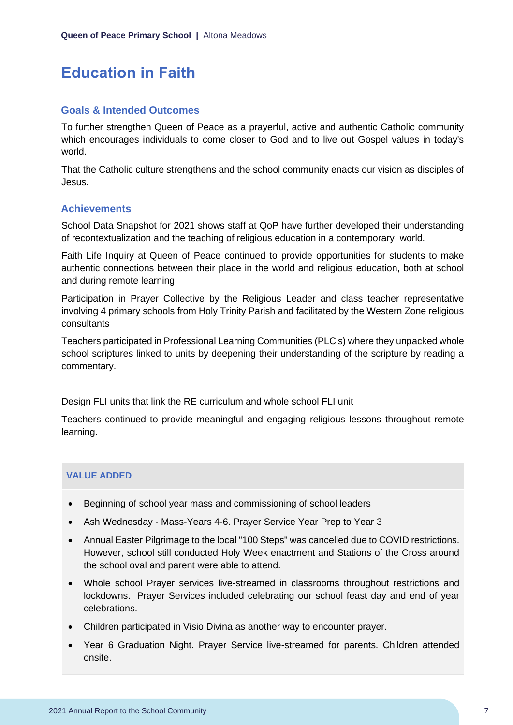## <span id="page-7-0"></span>**Education in Faith**

#### **Goals & Intended Outcomes**

To further strengthen Queen of Peace as a prayerful, active and authentic Catholic community which encourages individuals to come closer to God and to live out Gospel values in today's world.

That the Catholic culture strengthens and the school community enacts our vision as disciples of Jesus.

#### **Achievements**

School Data Snapshot for 2021 shows staff at QoP have further developed their understanding of recontextualization and the teaching of religious education in a contemporary world.

Faith Life Inquiry at Queen of Peace continued to provide opportunities for students to make authentic connections between their place in the world and religious education, both at school and during remote learning.

Participation in Prayer Collective by the Religious Leader and class teacher representative involving 4 primary schools from Holy Trinity Parish and facilitated by the Western Zone religious consultants

Teachers participated in Professional Learning Communities (PLC's) where they unpacked whole school scriptures linked to units by deepening their understanding of the scripture by reading a commentary.

Design FLI units that link the RE curriculum and whole school FLI unit

Teachers continued to provide meaningful and engaging religious lessons throughout remote learning.

#### **VALUE ADDED**

- Beginning of school year mass and commissioning of school leaders
- Ash Wednesday Mass-Years 4-6. Prayer Service Year Prep to Year 3
- Annual Easter Pilgrimage to the local "100 Steps" was cancelled due to COVID restrictions. However, school still conducted Holy Week enactment and Stations of the Cross around the school oval and parent were able to attend.
- Whole school Prayer services live-streamed in classrooms throughout restrictions and lockdowns. Prayer Services included celebrating our school feast day and end of year celebrations.
- Children participated in Visio Divina as another way to encounter prayer.
- Year 6 Graduation Night. Prayer Service live-streamed for parents. Children attended onsite.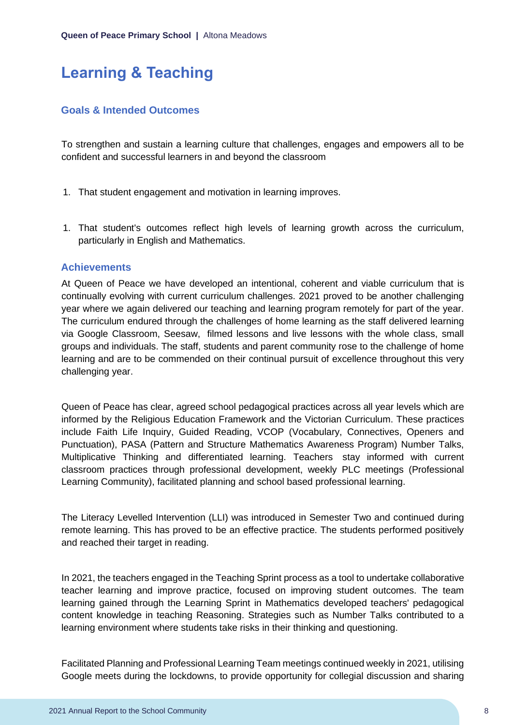# <span id="page-8-0"></span>**Learning & Teaching**

#### **Goals & Intended Outcomes**

To strengthen and sustain a learning culture that challenges, engages and empowers all to be confident and successful learners in and beyond the classroom

- 1. That student engagement and motivation in learning improves.
- 1. That student's outcomes reflect high levels of learning growth across the curriculum, particularly in English and Mathematics.

#### **Achievements**

At Queen of Peace we have developed an intentional, coherent and viable curriculum that is continually evolving with current curriculum challenges. 2021 proved to be another challenging year where we again delivered our teaching and learning program remotely for part of the year. The curriculum endured through the challenges of home learning as the staff delivered learning via Google Classroom, Seesaw, filmed lessons and live lessons with the whole class, small groups and individuals. The staff, students and parent community rose to the challenge of home learning and are to be commended on their continual pursuit of excellence throughout this very challenging year.

Queen of Peace has clear, agreed school pedagogical practices across all year levels which are informed by the Religious Education Framework and the Victorian Curriculum. These practices include Faith Life Inquiry, Guided Reading, VCOP (Vocabulary, Connectives, Openers and Punctuation), PASA (Pattern and Structure Mathematics Awareness Program) Number Talks, Multiplicative Thinking and differentiated learning. Teachers stay informed with current classroom practices through professional development, weekly PLC meetings (Professional Learning Community), facilitated planning and school based professional learning.

The Literacy Levelled Intervention (LLI) was introduced in Semester Two and continued during remote learning. This has proved to be an effective practice. The students performed positively and reached their target in reading.

In 2021, the teachers engaged in the Teaching Sprint process as a tool to undertake collaborative teacher learning and improve practice, focused on improving student outcomes. The team learning gained through the Learning Sprint in Mathematics developed teachers' pedagogical content knowledge in teaching Reasoning. Strategies such as Number Talks contributed to a learning environment where students take risks in their thinking and questioning.

Facilitated Planning and Professional Learning Team meetings continued weekly in 2021, utilising Google meets during the lockdowns, to provide opportunity for collegial discussion and sharing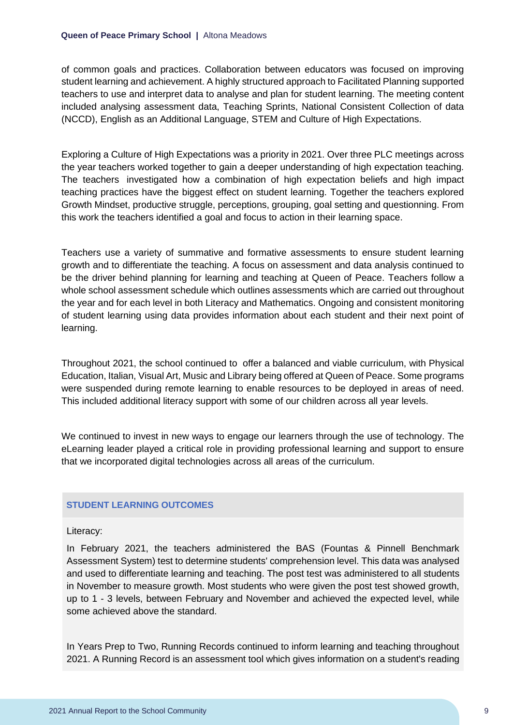of common goals and practices. Collaboration between educators was focused on improving student learning and achievement. A highly structured approach to Facilitated Planning supported teachers to use and interpret data to analyse and plan for student learning. The meeting content included analysing assessment data, Teaching Sprints, National Consistent Collection of data (NCCD), English as an Additional Language, STEM and Culture of High Expectations.

Exploring a Culture of High Expectations was a priority in 2021. Over three PLC meetings across the year teachers worked together to gain a deeper understanding of high expectation teaching. The teachers investigated how a combination of high expectation beliefs and high impact teaching practices have the biggest effect on student learning. Together the teachers explored Growth Mindset, productive struggle, perceptions, grouping, goal setting and questionning. From this work the teachers identified a goal and focus to action in their learning space.

Teachers use a variety of summative and formative assessments to ensure student learning growth and to differentiate the teaching. A focus on assessment and data analysis continued to be the driver behind planning for learning and teaching at Queen of Peace. Teachers follow a whole school assessment schedule which outlines assessments which are carried out throughout the year and for each level in both Literacy and Mathematics. Ongoing and consistent monitoring of student learning using data provides information about each student and their next point of learning.

Throughout 2021, the school continued to offer a balanced and viable curriculum, with Physical Education, Italian, Visual Art, Music and Library being offered at Queen of Peace. Some programs were suspended during remote learning to enable resources to be deployed in areas of need. This included additional literacy support with some of our children across all year levels.

We continued to invest in new ways to engage our learners through the use of technology. The eLearning leader played a critical role in providing professional learning and support to ensure that we incorporated digital technologies across all areas of the curriculum.

#### **STUDENT LEARNING OUTCOMES**

Literacy:

In February 2021, the teachers administered the BAS (Fountas & Pinnell Benchmark Assessment System) test to determine students' comprehension level. This data was analysed and used to differentiate learning and teaching. The post test was administered to all students in November to measure growth. Most students who were given the post test showed growth, up to 1 - 3 levels, between February and November and achieved the expected level, while some achieved above the standard.

In Years Prep to Two, Running Records continued to inform learning and teaching throughout 2021. A Running Record is an assessment tool which gives information on a student's reading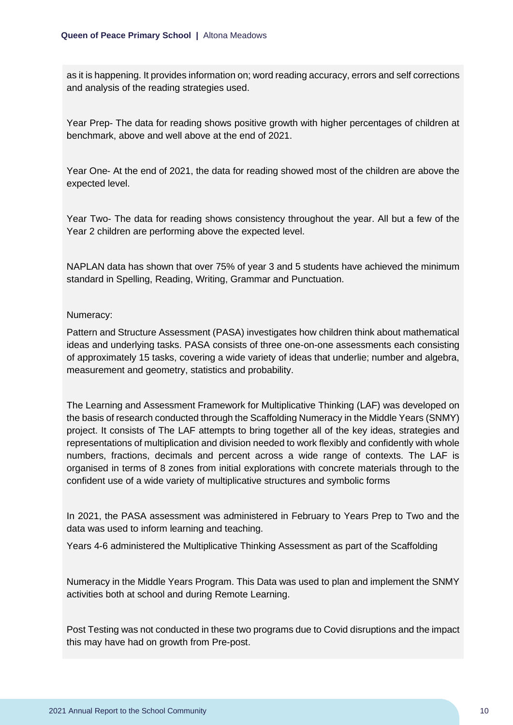as it is happening. It provides information on; word reading accuracy, errors and self corrections and analysis of the reading strategies used.

Year Prep- The data for reading shows positive growth with higher percentages of children at benchmark, above and well above at the end of 2021.

Year One- At the end of 2021, the data for reading showed most of the children are above the expected level.

Year Two- The data for reading shows consistency throughout the year. All but a few of the Year 2 children are performing above the expected level.

NAPLAN data has shown that over 75% of year 3 and 5 students have achieved the minimum standard in Spelling, Reading, Writing, Grammar and Punctuation.

#### Numeracy:

Pattern and Structure Assessment (PASA) investigates how children think about mathematical ideas and underlying tasks. PASA consists of three one-on-one assessments each consisting of approximately 15 tasks, covering a wide variety of ideas that underlie; number and algebra, measurement and geometry, statistics and probability.

The Learning and Assessment Framework for Multiplicative Thinking (LAF) was developed on the basis of research conducted through the Scaffolding Numeracy in the Middle Years (SNMY) project. It consists of The LAF attempts to bring together all of the key ideas, strategies and representations of multiplication and division needed to work flexibly and confidently with whole numbers, fractions, decimals and percent across a wide range of contexts. The LAF is organised in terms of 8 zones from initial explorations with concrete materials through to the confident use of a wide variety of multiplicative structures and symbolic forms

In 2021, the PASA assessment was administered in February to Years Prep to Two and the data was used to inform learning and teaching.

Years 4-6 administered the Multiplicative Thinking Assessment as part of the Scaffolding

Numeracy in the Middle Years Program. This Data was used to plan and implement the SNMY activities both at school and during Remote Learning.

Post Testing was not conducted in these two programs due to Covid disruptions and the impact this may have had on growth from Pre-post.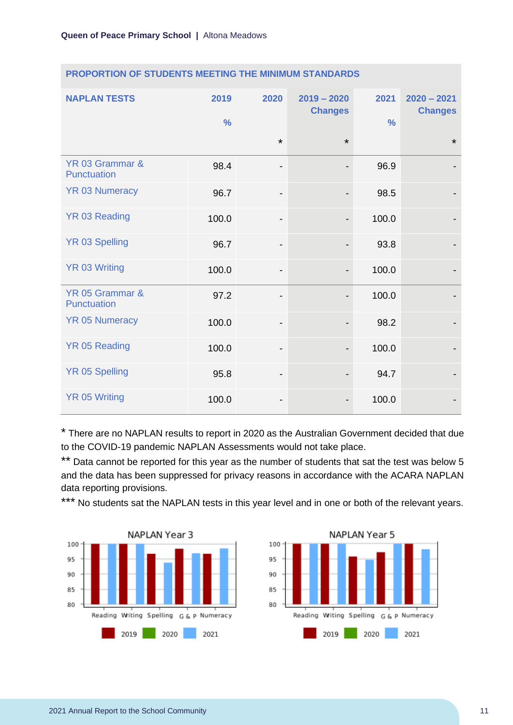| <b>NAPLAN TESTS</b>                   | 2019<br>$\frac{0}{0}$ | 2020                         | $2019 - 2020$<br><b>Changes</b> | 2021<br>$\frac{0}{0}$ | $2020 - 2021$<br><b>Changes</b> |
|---------------------------------------|-----------------------|------------------------------|---------------------------------|-----------------------|---------------------------------|
|                                       |                       | $\star$                      | $\star$                         |                       | $\star$                         |
| YR 03 Grammar &<br><b>Punctuation</b> | 98.4                  | $\qquad \qquad \blacksquare$ | $\overline{\phantom{a}}$        | 96.9                  |                                 |
| <b>YR 03 Numeracy</b>                 | 96.7                  | $\qquad \qquad \blacksquare$ |                                 | 98.5                  |                                 |
| YR 03 Reading                         | 100.0                 | $\overline{\phantom{a}}$     |                                 | 100.0                 |                                 |
| <b>YR 03 Spelling</b>                 | 96.7                  | $\overline{\phantom{a}}$     | $\overline{\phantom{a}}$        | 93.8                  |                                 |
| <b>YR 03 Writing</b>                  | 100.0                 | -                            |                                 | 100.0                 |                                 |
| YR 05 Grammar &<br><b>Punctuation</b> | 97.2                  | $\qquad \qquad \blacksquare$ |                                 | 100.0                 |                                 |
| <b>YR 05 Numeracy</b>                 | 100.0                 | $\overline{\phantom{0}}$     |                                 | 98.2                  |                                 |
| <b>YR 05 Reading</b>                  | 100.0                 | $\overline{\phantom{a}}$     | $\overline{\phantom{a}}$        | 100.0                 |                                 |
| <b>YR 05 Spelling</b>                 | 95.8                  | $\overline{\phantom{a}}$     |                                 | 94.7                  |                                 |
| <b>YR 05 Writing</b>                  | 100.0                 | -                            |                                 | 100.0                 |                                 |

#### **PROPORTION OF STUDENTS MEETING THE MINIMUM STANDARDS**

\* There are no NAPLAN results to report in 2020 as the Australian Government decided that due to the COVID-19 pandemic NAPLAN Assessments would not take place.

\*\* Data cannot be reported for this year as the number of students that sat the test was below 5 and the data has been suppressed for privacy reasons in accordance with the ACARA NAPLAN data reporting provisions.

\*\*\* No students sat the NAPLAN tests in this year level and in one or both of the relevant years.



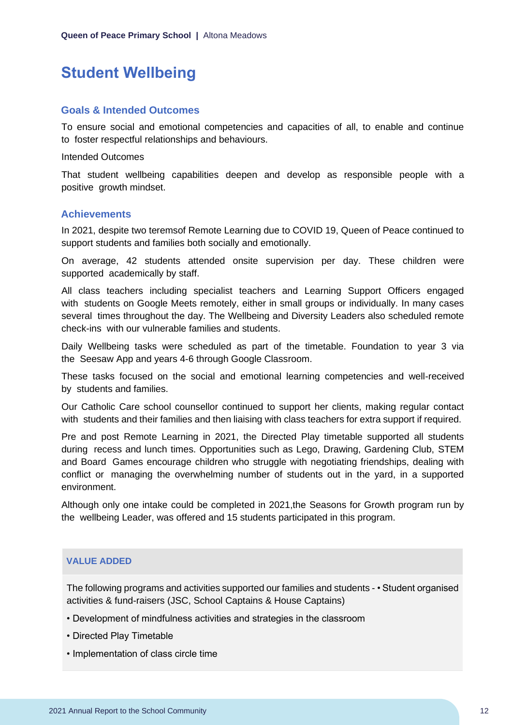# <span id="page-12-0"></span>**Student Wellbeing**

#### **Goals & Intended Outcomes**

To ensure social and emotional competencies and capacities of all, to enable and continue to foster respectful relationships and behaviours.

Intended Outcomes

That student wellbeing capabilities deepen and develop as responsible people with a positive growth mindset.

#### **Achievements**

In 2021, despite two teremsof Remote Learning due to COVID 19, Queen of Peace continued to support students and families both socially and emotionally.

On average, 42 students attended onsite supervision per day. These children were supported academically by staff.

All class teachers including specialist teachers and Learning Support Officers engaged with students on Google Meets remotely, either in small groups or individually. In many cases several times throughout the day. The Wellbeing and Diversity Leaders also scheduled remote check-ins with our vulnerable families and students.

Daily Wellbeing tasks were scheduled as part of the timetable. Foundation to year 3 via the Seesaw App and years 4-6 through Google Classroom.

These tasks focused on the social and emotional learning competencies and well-received by students and families.

Our Catholic Care school counsellor continued to support her clients, making regular contact with students and their families and then liaising with class teachers for extra support if required.

Pre and post Remote Learning in 2021, the Directed Play timetable supported all students during recess and lunch times. Opportunities such as Lego, Drawing, Gardening Club, STEM and Board Games encourage children who struggle with negotiating friendships, dealing with conflict or managing the overwhelming number of students out in the yard, in a supported environment.

Although only one intake could be completed in 2021,the Seasons for Growth program run by the wellbeing Leader, was offered and 15 students participated in this program.

#### **VALUE ADDED**

The following programs and activities supported our families and students - • Student organised activities & fund-raisers (JSC, School Captains & House Captains)

- Development of mindfulness activities and strategies in the classroom
- Directed Play Timetable
- Implementation of class circle time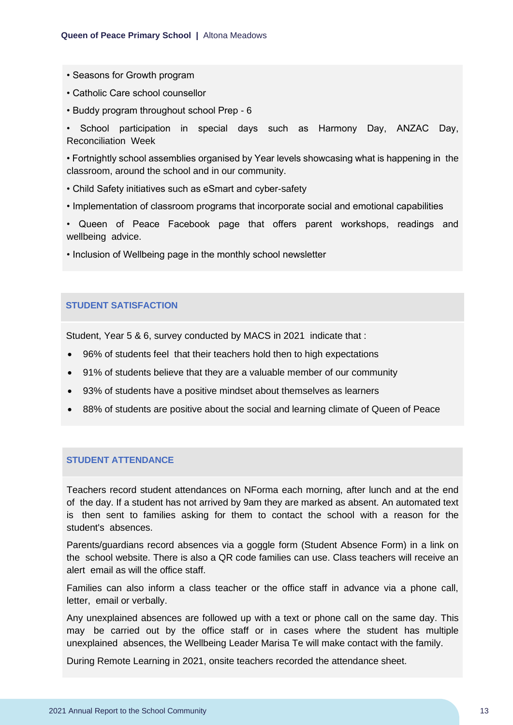- Seasons for Growth program
- Catholic Care school counsellor
- Buddy program throughout school Prep 6

• School participation in special days such as Harmony Day, ANZAC Day, Reconciliation Week

• Fortnightly school assemblies organised by Year levels showcasing what is happening in the classroom, around the school and in our community.

- Child Safety initiatives such as eSmart and cyber-safety
- Implementation of classroom programs that incorporate social and emotional capabilities
- Queen of Peace Facebook page that offers parent workshops, readings and wellbeing advice.
- Inclusion of Wellbeing page in the monthly school newsletter

#### **STUDENT SATISFACTION**

Student, Year 5 & 6, survey conducted by MACS in 2021 indicate that :

- 96% of students feel that their teachers hold then to high expectations
- 91% of students believe that they are a valuable member of our community
- 93% of students have a positive mindset about themselves as learners
- 88% of students are positive about the social and learning climate of Queen of Peace

#### **STUDENT ATTENDANCE**

Teachers record student attendances on NForma each morning, after lunch and at the end of the day. If a student has not arrived by 9am they are marked as absent. An automated text is then sent to families asking for them to contact the school with a reason for the student's absences.

Parents/guardians record absences via a goggle form (Student Absence Form) in a link on the school website. There is also a QR code families can use. Class teachers will receive an alert email as will the office staff.

Families can also inform a class teacher or the office staff in advance via a phone call, letter, email or verbally.

Any unexplained absences are followed up with a text or phone call on the same day. This may be carried out by the office staff or in cases where the student has multiple unexplained absences, the Wellbeing Leader Marisa Te will make contact with the family.

During Remote Learning in 2021, onsite teachers recorded the attendance sheet.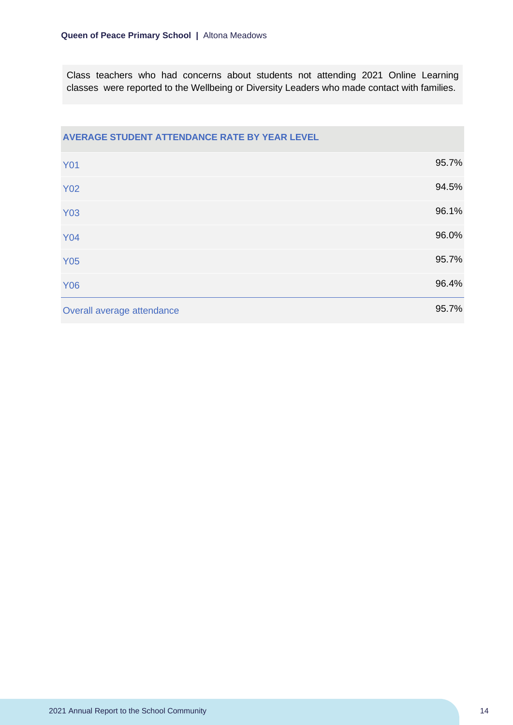Class teachers who had concerns about students not attending 2021 Online Learning classes were reported to the Wellbeing or Diversity Leaders who made contact with families.

| AVERAGE STUDENT ATTENDANCE RATE BY YEAR LEVEL |       |
|-----------------------------------------------|-------|
| <b>Y01</b>                                    | 95.7% |
| <b>Y02</b>                                    | 94.5% |
| <b>Y03</b>                                    | 96.1% |
| <b>Y04</b>                                    | 96.0% |
| <b>Y05</b>                                    | 95.7% |
| <b>Y06</b>                                    | 96.4% |
| Overall average attendance                    | 95.7% |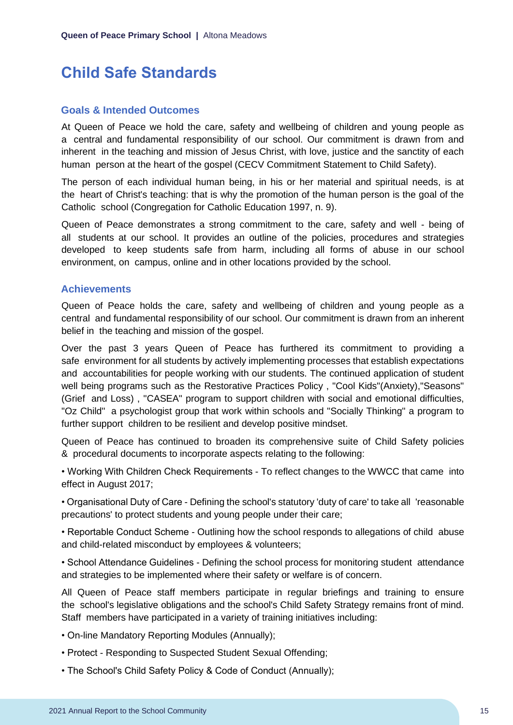# <span id="page-15-0"></span>**Child Safe Standards**

#### **Goals & Intended Outcomes**

At Queen of Peace we hold the care, safety and wellbeing of children and young people as a central and fundamental responsibility of our school. Our commitment is drawn from and inherent in the teaching and mission of Jesus Christ, with love, justice and the sanctity of each human person at the heart of the gospel (CECV Commitment Statement to Child Safety).

The person of each individual human being, in his or her material and spiritual needs, is at the heart of Christ's teaching: that is why the promotion of the human person is the goal of the Catholic school (Congregation for Catholic Education 1997, n. 9).

Queen of Peace demonstrates a strong commitment to the care, safety and well - being of all students at our school. It provides an outline of the policies, procedures and strategies developed to keep students safe from harm, including all forms of abuse in our school environment, on campus, online and in other locations provided by the school.

#### **Achievements**

Queen of Peace holds the care, safety and wellbeing of children and young people as a central and fundamental responsibility of our school. Our commitment is drawn from an inherent belief in the teaching and mission of the gospel.

Over the past 3 years Queen of Peace has furthered its commitment to providing a safe environment for all students by actively implementing processes that establish expectations and accountabilities for people working with our students. The continued application of student well being programs such as the Restorative Practices Policy , "Cool Kids"(Anxiety),"Seasons" (Grief and Loss) , "CASEA" program to support children with social and emotional difficulties, "Oz Child" a psychologist group that work within schools and "Socially Thinking" a program to further support children to be resilient and develop positive mindset.

Queen of Peace has continued to broaden its comprehensive suite of Child Safety policies & procedural documents to incorporate aspects relating to the following:

• Working With Children Check Requirements - To reflect changes to the WWCC that came into effect in August 2017;

• Organisational Duty of Care - Defining the school's statutory 'duty of care' to take all 'reasonable precautions' to protect students and young people under their care;

• Reportable Conduct Scheme - Outlining how the school responds to allegations of child abuse and child-related misconduct by employees & volunteers;

• School Attendance Guidelines - Defining the school process for monitoring student attendance and strategies to be implemented where their safety or welfare is of concern.

All Queen of Peace staff members participate in regular briefings and training to ensure the school's legislative obligations and the school's Child Safety Strategy remains front of mind. Staff members have participated in a variety of training initiatives including:

• On-line Mandatory Reporting Modules (Annually);

- Protect Responding to Suspected Student Sexual Offending;
- The School's Child Safety Policy & Code of Conduct (Annually);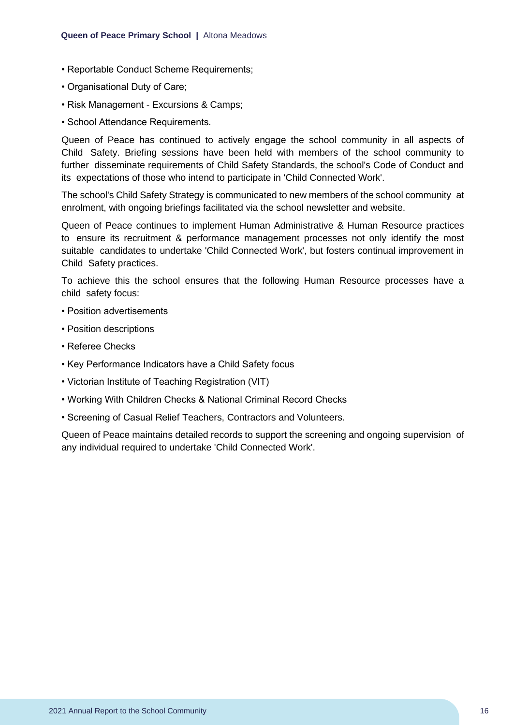- Reportable Conduct Scheme Requirements;
- Organisational Duty of Care;
- Risk Management Excursions & Camps;
- School Attendance Requirements.

Queen of Peace has continued to actively engage the school community in all aspects of Child Safety. Briefing sessions have been held with members of the school community to further disseminate requirements of Child Safety Standards, the school's Code of Conduct and its expectations of those who intend to participate in 'Child Connected Work'.

The school's Child Safety Strategy is communicated to new members of the school community at enrolment, with ongoing briefings facilitated via the school newsletter and website.

Queen of Peace continues to implement Human Administrative & Human Resource practices to ensure its recruitment & performance management processes not only identify the most suitable candidates to undertake 'Child Connected Work', but fosters continual improvement in Child Safety practices.

To achieve this the school ensures that the following Human Resource processes have a child safety focus:

- Position advertisements
- Position descriptions
- Referee Checks
- Key Performance Indicators have a Child Safety focus
- Victorian Institute of Teaching Registration (VIT)
- Working With Children Checks & National Criminal Record Checks
- Screening of Casual Relief Teachers, Contractors and Volunteers.

Queen of Peace maintains detailed records to support the screening and ongoing supervision of any individual required to undertake 'Child Connected Work'.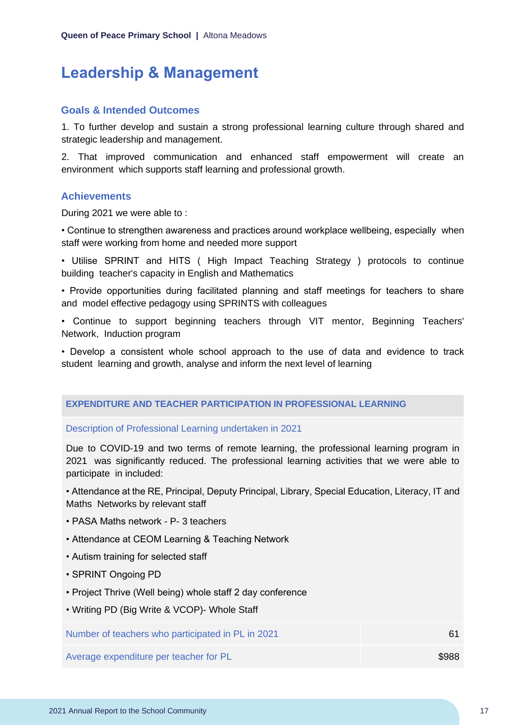### <span id="page-17-0"></span>**Leadership & Management**

#### **Goals & Intended Outcomes**

1. To further develop and sustain a strong professional learning culture through shared and strategic leadership and management.

2. That improved communication and enhanced staff empowerment will create an environment which supports staff learning and professional growth.

#### **Achievements**

During 2021 we were able to :

• Continue to strengthen awareness and practices around workplace wellbeing, especially when staff were working from home and needed more support

• Utilise SPRINT and HITS ( High Impact Teaching Strategy ) protocols to continue building teacher's capacity in English and Mathematics

• Provide opportunities during facilitated planning and staff meetings for teachers to share and model effective pedagogy using SPRINTS with colleagues

• Continue to support beginning teachers through VIT mentor, Beginning Teachers' Network, Induction program

• Develop a consistent whole school approach to the use of data and evidence to track student learning and growth, analyse and inform the next level of learning

#### **EXPENDITURE AND TEACHER PARTICIPATION IN PROFESSIONAL LEARNING**

#### Description of Professional Learning undertaken in 2021

Due to COVID-19 and two terms of remote learning, the professional learning program in 2021 was significantly reduced. The professional learning activities that we were able to participate in included:

• Attendance at the RE, Principal, Deputy Principal, Library, Special Education, Literacy, IT and Maths Networks by relevant staff

- PASA Maths network P- 3 teachers
- Attendance at CEOM Learning & Teaching Network
- Autism training for selected staff
- SPRINT Ongoing PD
- Project Thrive (Well being) whole staff 2 day conference
- Writing PD (Big Write & VCOP)- Whole Staff

Number of teachers who participated in PL in 2021 61

Average expenditure per teacher for PL  $$988$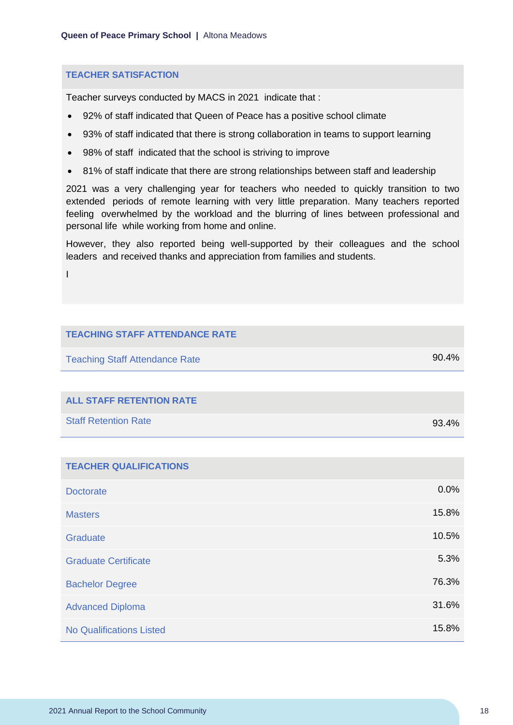#### **TEACHER SATISFACTION**

Teacher surveys conducted by MACS in 2021 indicate that :

- 92% of staff indicated that Queen of Peace has a positive school climate
- 93% of staff indicated that there is strong collaboration in teams to support learning
- 98% of staff indicated that the school is striving to improve
- 81% of staff indicate that there are strong relationships between staff and leadership

2021 was a very challenging year for teachers who needed to quickly transition to two extended periods of remote learning with very little preparation. Many teachers reported feeling overwhelmed by the workload and the blurring of lines between professional and personal life while working from home and online.

However, they also reported being well-supported by their colleagues and the school leaders and received thanks and appreciation from families and students.

I

| <b>TEACHING STAFF ATTENDANCE RATE</b> |       |
|---------------------------------------|-------|
| <b>Teaching Staff Attendance Rate</b> | 90.4% |
|                                       |       |
| <b>ALL STAFF RETENTION RATE</b>       |       |
| <b>Staff Retention Rate</b>           | 93.4% |
|                                       |       |
| <b>TEACHER QUALIFICATIONS</b>         |       |
| <b>Doctorate</b>                      | 0.0%  |
| <b>Masters</b>                        | 15.8% |
| Graduate                              | 10.5% |
| <b>Graduate Certificate</b>           | 5.3%  |
| <b>Bachelor Degree</b>                | 76.3% |
| <b>Advanced Diploma</b>               | 31.6% |
| <b>No Qualifications Listed</b>       | 15.8% |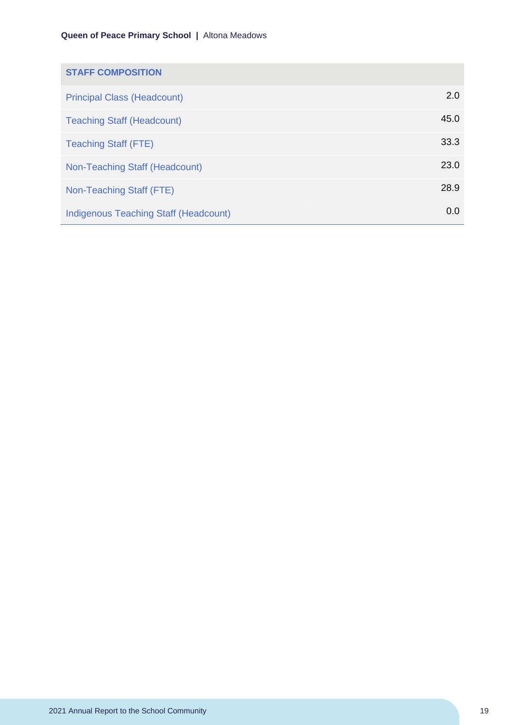| <b>STAFF COMPOSITION</b>                     |      |
|----------------------------------------------|------|
| <b>Principal Class (Headcount)</b>           | 2.0  |
| <b>Teaching Staff (Headcount)</b>            | 45.0 |
| <b>Teaching Staff (FTE)</b>                  | 33.3 |
| Non-Teaching Staff (Headcount)               | 23.0 |
| Non-Teaching Staff (FTE)                     | 28.9 |
| <b>Indigenous Teaching Staff (Headcount)</b> | 0.0  |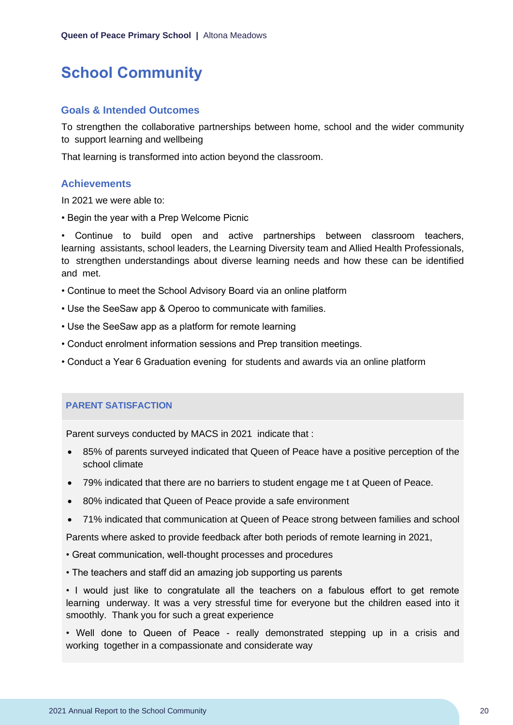# <span id="page-20-0"></span>**School Community**

#### **Goals & Intended Outcomes**

To strengthen the collaborative partnerships between home, school and the wider community to support learning and wellbeing

That learning is transformed into action beyond the classroom.

#### **Achievements**

In 2021 we were able to:

• Begin the year with a Prep Welcome Picnic

• Continue to build open and active partnerships between classroom teachers, learning assistants, school leaders, the Learning Diversity team and Allied Health Professionals, to strengthen understandings about diverse learning needs and how these can be identified and met.

- Continue to meet the School Advisory Board via an online platform
- Use the SeeSaw app & Operoo to communicate with families.
- Use the SeeSaw app as a platform for remote learning
- Conduct enrolment information sessions and Prep transition meetings.
- Conduct a Year 6 Graduation evening for students and awards via an online platform

#### **PARENT SATISFACTION**

Parent surveys conducted by MACS in 2021 indicate that :

- 85% of parents surveyed indicated that Queen of Peace have a positive perception of the school climate
- 79% indicated that there are no barriers to student engage me t at Queen of Peace.
- 80% indicated that Queen of Peace provide a safe environment
- 71% indicated that communication at Queen of Peace strong between families and school

Parents where asked to provide feedback after both periods of remote learning in 2021,

- Great communication, well-thought processes and procedures
- The teachers and staff did an amazing job supporting us parents

• I would just like to congratulate all the teachers on a fabulous effort to get remote learning underway. It was a very stressful time for everyone but the children eased into it smoothly. Thank you for such a great experience

• Well done to Queen of Peace - really demonstrated stepping up in a crisis and working together in a compassionate and considerate way